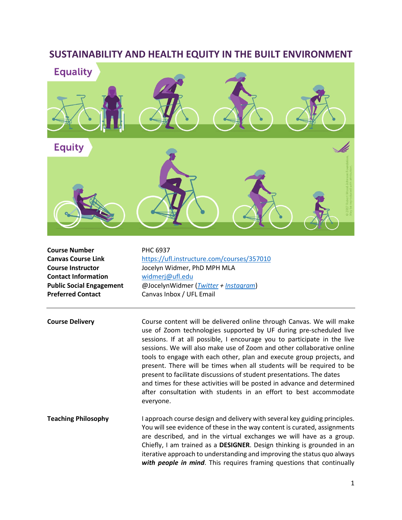## **SUSTAINABILITY AND HEALTH EQUITY IN THE BUILT ENVIRONMENT**



**Course Number** PHC 6937 **Contact Information** [widmerj@ufl.edu](mailto:widmerj@ufl.edu) **Preferred Contact** Canvas Inbox / UFL Email

**Canvas Course Link** <https://ufl.instructure.com/courses/357010> **Course Instructor** Jocelyn Widmer, PhD MPH MLA **Public Social Engagement** @JocelynWidmer (*[Twitter](https://twitter.com/JocelynWidmer?ref_src=twsrc%5Egoogle%7Ctwcamp%5Eserp%7Ctwgr%5Eauthor) + [Instagram](https://www.instagram.com/jocelynwidmer/?hl=en)*)

**Course Delivery** Course content will be delivered online through Canvas. We will make use of Zoom technologies supported by UF during pre-scheduled live sessions. If at all possible, I encourage you to participate in the live sessions. We will also make use of Zoom and other collaborative online tools to engage with each other, plan and execute group projects, and present. There will be times when all students will be required to be present to facilitate discussions of student presentations. The dates and times for these activities will be posted in advance and determined after consultation with students in an effort to best accommodate everyone.

**Teaching Philosophy** I approach course design and delivery with several key guiding principles. You will see evidence of these in the way content is curated, assignments are described, and in the virtual exchanges we will have as a group. Chiefly, I am trained as a **DESIGNER**. Design thinking is grounded in an iterative approach to understanding and improving the status quo always *with people in mind*. This requires framing questions that continually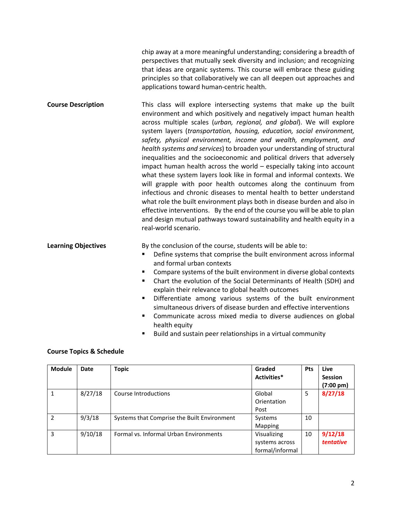chip away at a more meaningful understanding; considering a breadth of perspectives that mutually seek diversity and inclusion; and recognizing that ideas are organic systems. This course will embrace these guiding principles so that collaboratively we can all deepen out approaches and applications toward human-centric health.

**Course Description** This class will explore intersecting systems that make up the built environment and which positively and negatively impact human health across multiple scales (*urban, regional, and global*). We will explore system layers (*transportation, housing, education, social environment, safety, physical environment, income and wealth, employment, and health systems and services*) to broaden your understanding of structural inequalities and the socioeconomic and political drivers that adversely impact human health across the world – especially taking into account what these system layers look like in formal and informal contexts. We will grapple with poor health outcomes along the continuum from infectious and chronic diseases to mental health to better understand what role the built environment plays both in disease burden and also in effective interventions. By the end of the course you will be able to plan and design mutual pathways toward sustainability and health equity in a real-world scenario.

**Learning Objectives** By the conclusion of the course, students will be able to:

- Define systems that comprise the built environment across informal and formal urban contexts
- Compare systems of the built environment in diverse global contexts
- Chart the evolution of the Social Determinants of Health (SDH) and explain their relevance to global health outcomes
- Differentiate among various systems of the built environment simultaneous drivers of disease burden and effective interventions
- Communicate across mixed media to diverse audiences on global health equity
- Build and sustain peer relationships in a virtual community

## **Course Topics & Schedule**

| <b>Module</b> | Date    | <b>Topic</b>                                | Graded<br>Activities* | <b>Pts</b> | Live<br><b>Session</b><br>$(7:00 \text{ pm})$ |
|---------------|---------|---------------------------------------------|-----------------------|------------|-----------------------------------------------|
|               | 8/27/18 | Course Introductions                        | Global                | 5          | 8/27/18                                       |
|               |         |                                             | Orientation           |            |                                               |
|               |         |                                             | Post                  |            |                                               |
| $\mathcal{P}$ | 9/3/18  | Systems that Comprise the Built Environment | Systems               | 10         |                                               |
|               |         |                                             | Mapping               |            |                                               |
| 3             | 9/10/18 | Formal vs. Informal Urban Environments      | Visualizing           | 10         | 9/12/18                                       |
|               |         |                                             | systems across        |            | <b>tentative</b>                              |
|               |         |                                             | formal/informal       |            |                                               |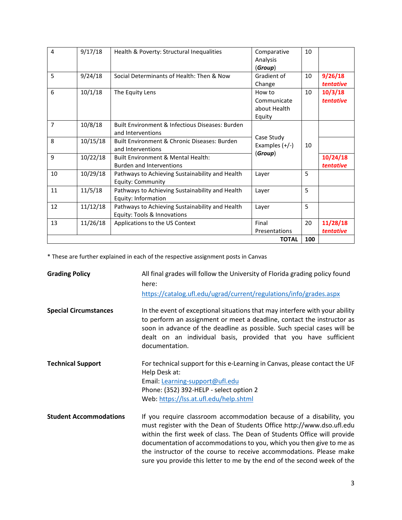| 4              | 9/17/18  | Health & Poverty: Structural Inequalities       | Comparative      | 10 |           |
|----------------|----------|-------------------------------------------------|------------------|----|-----------|
|                |          |                                                 | Analysis         |    |           |
|                |          |                                                 | (Group)          |    |           |
| 5              | 9/24/18  | Social Determinants of Health: Then & Now       | Gradient of      | 10 | 9/26/18   |
|                |          |                                                 | Change           |    | tentative |
| 6              | 10/1/18  | The Equity Lens                                 | How to           | 10 | 10/3/18   |
|                |          |                                                 | Communicate      |    | tentative |
|                |          |                                                 | about Health     |    |           |
|                |          |                                                 | Equity           |    |           |
| $\overline{7}$ | 10/8/18  | Built Environment & Infectious Diseases: Burden |                  |    |           |
|                |          | and Interventions                               | Case Study       |    |           |
| 8              | 10/15/18 | Built Environment & Chronic Diseases: Burden    | Examples $(+/-)$ | 10 |           |
|                |          | and Interventions                               | (Group)          |    |           |
| 9              | 10/22/18 | Built Environment & Mental Health:              |                  |    | 10/24/18  |
|                |          | <b>Burden and Interventions</b>                 |                  |    | tentative |
| 10             | 10/29/18 | Pathways to Achieving Sustainability and Health | Layer            | 5  |           |
|                |          | Equity: Community                               |                  |    |           |
| 11             | 11/5/18  | Pathways to Achieving Sustainability and Health | Layer            | 5  |           |
|                |          | Equity: Information                             |                  |    |           |
| 12             | 11/12/18 | Pathways to Achieving Sustainability and Health | Layer            | 5  |           |
|                |          | Equity: Tools & Innovations                     |                  |    |           |
| 13             | 11/26/18 | Applications to the US Context                  | Final            | 20 | 11/28/18  |
|                |          |                                                 | Presentations    |    | tentative |
| <b>TOTAL</b>   |          |                                                 |                  |    |           |

\* These are further explained in each of the respective assignment posts in Canvas

| <b>Grading Policy</b>         | All final grades will follow the University of Florida grading policy found<br>here:<br>https://catalog.ufl.edu/ugrad/current/regulations/info/grades.aspx                                                                                                                                                                                                                                                                                         |
|-------------------------------|----------------------------------------------------------------------------------------------------------------------------------------------------------------------------------------------------------------------------------------------------------------------------------------------------------------------------------------------------------------------------------------------------------------------------------------------------|
| <b>Special Circumstances</b>  | In the event of exceptional situations that may interfere with your ability<br>to perform an assignment or meet a deadline, contact the instructor as<br>soon in advance of the deadline as possible. Such special cases will be<br>dealt on an individual basis, provided that you have sufficient<br>documentation.                                                                                                                              |
| <b>Technical Support</b>      | For technical support for this e-Learning in Canvas, please contact the UF<br>Help Desk at:<br>Email: Learning-support@ufl.edu<br>Phone: (352) 392-HELP - select option 2<br>Web: https://lss.at.ufl.edu/help.shtml                                                                                                                                                                                                                                |
| <b>Student Accommodations</b> | If you require classroom accommodation because of a disability, you<br>must register with the Dean of Students Office http://www.dso.ufl.edu<br>within the first week of class. The Dean of Students Office will provide<br>documentation of accommodations to you, which you then give to me as<br>the instructor of the course to receive accommodations. Please make<br>sure you provide this letter to me by the end of the second week of the |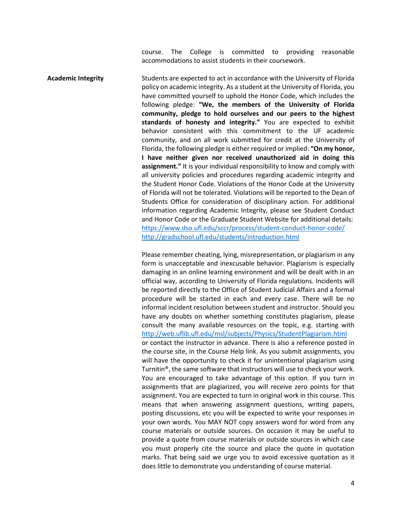course. The College is committed to providing reasonable accommodations to assist students in their coursework.

Academic Integrity **Students are expected to act in accordance with the University of Florida** policy on academic integrity. As a student at the University of Florida, you have committed yourself to uphold the Honor Code, which includes the following pledge: **"We, the members of the University of Florida community, pledge to hold ourselves and our peers to the highest standards of honesty and integrity."** You are expected to exhibit behavior consistent with this commitment to the UF academic community, and on all work submitted for credit at the University of Florida, the following pledge is either required or implied: **"On my honor, I have neither given nor received unauthorized aid in doing this assignment."** It is your individual responsibility to know and comply with all university policies and procedures regarding academic integrity and the Student Honor Code. Violations of the Honor Code at the University of Florida will not be tolerated. Violations will be reported to the Dean of Students Office for consideration of disciplinary action. For additional information regarding Academic Integrity, please see Student Conduct and Honor Code or the Graduate Student Website for additional details: <https://www.dso.ufl.edu/sccr/process/student-conduct-honor-code/> <http://gradschool.ufl.edu/students/introduction.html>

> Please remember cheating, lying, misrepresentation, or plagiarism in any form is unacceptable and inexcusable behavior. Plagiarism is especially damaging in an online learning environment and will be dealt with in an official way, according to University of Florida regulations. Incidents will be reported directly to the Office of Student Judicial Affairs and a formal procedure will be started in each and every case. There will be no informal incident resolution between student and instructor. Should you have any doubts on whether something constitutes plagiarism, please consult the many available resources on the topic, e.g. starting with <http://web.uflib.ufl.edu/msl/subjects/Physics/StudentPlagiarism.html> or contact the instructor in advance. There is also a reference posted in the course site, in the Course Help link. As you submit assignments, you will have the opportunity to check it for unintentional plagiarism using Turnitin®, the same software that instructors will use to check your work. You are encouraged to take advantage of this option. If you turn in assignments that are plagiarized, you will receive zero points for that assignment. You are expected to turn in original work in this course. This means that when answering assignment questions, writing papers, posting discussions, etc you will be expected to write your responses in your own words. You MAY NOT copy answers word for word from any course materials or outside sources. On occasion it may be useful to provide a quote from course materials or outside sources in which case you must properly cite the source and place the quote in quotation marks. That being said we urge you to avoid excessive quotation as it does little to demonstrate you understanding of course material.